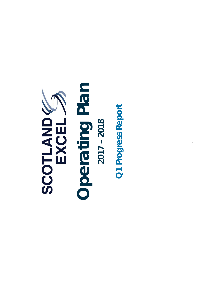

## **Operating Plan**  Operating Plan **2017 – 2018**   $2017 - 2018$

**Q1 Progress Report** Q1 Progress Report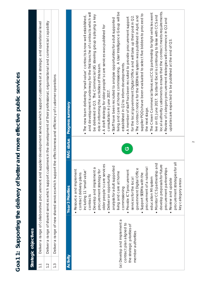| a the delivery of better and more effective public services |
|-------------------------------------------------------------|
|                                                             |
|                                                             |
|                                                             |
|                                                             |
| ١                                                           |
|                                                             |
| ງ<br>i<br>C                                                 |
| ţ<br>C                                                      |
| Ç<br>$\epsilon$                                             |

**Strategic objectives** 

Strategic objectives

| $\overline{\phantom{0}}$ |                                                                                                              |                                                                                                                                                                                                                                                                                                                                                                                                                                                                                                                                                                                                                                          |                   | Deliver a range of collaborative procurement and supplier development services which support customers at a strategic and operational level                                                                                                                                                                                                                                                                                                                                                                                                                                                                                                                                                                                                                                                                                                                                                                                                                                                                                                                                                                                                                                                                                                                                                                                                                   |
|--------------------------|--------------------------------------------------------------------------------------------------------------|------------------------------------------------------------------------------------------------------------------------------------------------------------------------------------------------------------------------------------------------------------------------------------------------------------------------------------------------------------------------------------------------------------------------------------------------------------------------------------------------------------------------------------------------------------------------------------------------------------------------------------------|-------------------|---------------------------------------------------------------------------------------------------------------------------------------------------------------------------------------------------------------------------------------------------------------------------------------------------------------------------------------------------------------------------------------------------------------------------------------------------------------------------------------------------------------------------------------------------------------------------------------------------------------------------------------------------------------------------------------------------------------------------------------------------------------------------------------------------------------------------------------------------------------------------------------------------------------------------------------------------------------------------------------------------------------------------------------------------------------------------------------------------------------------------------------------------------------------------------------------------------------------------------------------------------------------------------------------------------------------------------------------------------------|
| $\frac{1}{2}$            |                                                                                                              |                                                                                                                                                                                                                                                                                                                                                                                                                                                                                                                                                                                                                                          |                   | Deliver a range of shared services which support customers in the development of their professional, organisational and commercial capability                                                                                                                                                                                                                                                                                                                                                                                                                                                                                                                                                                                                                                                                                                                                                                                                                                                                                                                                                                                                                                                                                                                                                                                                                 |
| $\frac{3}{1}$            |                                                                                                              | Deliver a range of new shared services which support the                                                                                                                                                                                                                                                                                                                                                                                                                                                                                                                                                                                 |                   | effectiveness and efficiency of customer operations                                                                                                                                                                                                                                                                                                                                                                                                                                                                                                                                                                                                                                                                                                                                                                                                                                                                                                                                                                                                                                                                                                                                                                                                                                                                                                           |
|                          |                                                                                                              |                                                                                                                                                                                                                                                                                                                                                                                                                                                                                                                                                                                                                                          |                   |                                                                                                                                                                                                                                                                                                                                                                                                                                                                                                                                                                                                                                                                                                                                                                                                                                                                                                                                                                                                                                                                                                                                                                                                                                                                                                                                                               |
| Activity                 |                                                                                                              | <b>Year 3 Priorities</b>                                                                                                                                                                                                                                                                                                                                                                                                                                                                                                                                                                                                                 | <b>RAG</b> status | <b>Progress summary</b>                                                                                                                                                                                                                                                                                                                                                                                                                                                                                                                                                                                                                                                                                                                                                                                                                                                                                                                                                                                                                                                                                                                                                                                                                                                                                                                                       |
|                          | (a) Develop and implement a<br>contract plan aligned to<br>the strategic priorities of<br>member authorities | procurement strategies for all<br>• Monitor CCS partnership and<br>older people's care services<br>develop proposals for future<br>analysis for adult supported<br>procurement of a national<br>Develop and implement a<br>government Digital Office<br>procurement partnerships<br>· Resource and implement<br>Provide ICT procurement<br>including 11 'small value'<br>procurement strategy for<br>living and care at home<br>Support SEEMIs with the<br>contract delivery plans<br>Deliver an opportunity<br>education MI system<br>services for the local<br>· Review and update<br>key category areas<br>commissioning<br>contracts | ပ                 | living and care at home commissioning. A User Intelligence Group will be<br>local authority customers to ensure that the contract meets requirements.<br>and development is underway for the first tranche of contracts which will<br>The Crown Commercial Services (CCS) partnership for light vehicles went<br>supplier PQQs have been evaluated to select five bidders to proceed to<br>be delivered in Q3. The Commercial UIG steering group is playing a key<br>• The new team delivering 'small value' contracts is now well established,<br>live on 01 June 2017. Scotland Excel is continuing to liaise with CCS and<br>The contract notice for the SEEMis MI system was published in April, and<br>for the local government Digital Office and will take up their post in Q2.<br>A member of staff has been recruited to provide procurement support<br>Staff have been recruited to analyse opportunities for adult supported<br>Review of category procurement strategies will commence in Q2 and<br>A draft strategy for older people's care services was published for<br>updates are expected to be published at the end of Q3.<br>established in Q2 to inform developments.<br>role in informing the activities of this team.<br>consultation in June 2017<br>the next stage.<br>$\bullet$<br>$\bullet$<br>$\bullet$<br>$\bullet$<br>$\bullet$ |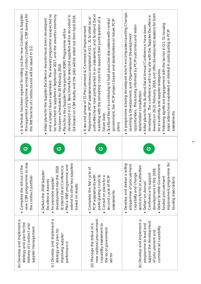| Management programme across the contract portfolio. CSM surveys for<br>A schedule has been agreed for rolling out the new Contract & Supplier<br>the first tranche of contracts and will be issued in Q2. | and a project team assembled. The awards programme is expected to<br>be launched to suppliers in September 2017, and the awards ceremony<br>developed in Q3. Benchmarks for selected suppliers will be recorded in<br>Q4 based on CSM results, and the pilot will be rolled out from April 2018.<br>. Initial plans for the Supplier Excellence Awards have been developed<br>Plans for a Key Supplier Management (KSM) Programme will be<br>has been scheduled for 20 February 2018. | authorities have now participated in an assessment, and Scotland Excel<br>Programme (PCIP assessments was completed in $Q1$ , $31$ Scottish local<br>is working with the remaining council to support their participation at a<br>Scotland Excel is continuing to hold proactive discussions with central<br>government, the PCIP project board and stakeholders on future PCIP<br>• A second phase of 15 Procurement & Commercial Improvement<br>future date.<br>plans. | . A programme is being developed which encompasses Leading Change,<br>Awards on 20-21 February 2018, and offer development sessions for both<br>developed. The conference will co-locate with the Supplier Excellence<br>Following significant engagement with the sector in Q1, 51 housing<br>opportunities. This is being informed by PCIP outcomes and wider<br>Initial plans for the Scotland Excel Annual Conference have been<br>associations have expressed an interest in participating in PCIP<br>Learning & Development, and Organisational Development<br>local authority and supplier delegates.<br>stakeholder consultation.<br>assessments. |
|-----------------------------------------------------------------------------------------------------------------------------------------------------------------------------------------------------------|---------------------------------------------------------------------------------------------------------------------------------------------------------------------------------------------------------------------------------------------------------------------------------------------------------------------------------------------------------------------------------------------------------------------------------------------------------------------------------------|--------------------------------------------------------------------------------------------------------------------------------------------------------------------------------------------------------------------------------------------------------------------------------------------------------------------------------------------------------------------------------------------------------------------------------------------------------------------------|-----------------------------------------------------------------------------------------------------------------------------------------------------------------------------------------------------------------------------------------------------------------------------------------------------------------------------------------------------------------------------------------------------------------------------------------------------------------------------------------------------------------------------------------------------------------------------------------------------------------------------------------------------------|
| $\bullet$<br>ပ                                                                                                                                                                                            | $\bullet$<br>ပ                                                                                                                                                                                                                                                                                                                                                                                                                                                                        | $\bullet$<br>ပ                                                                                                                                                                                                                                                                                                                                                                                                                                                           | $\bullet$<br>$\bullet$<br>ပ                                                                                                                                                                                                                                                                                                                                                                                                                                                                                                                                                                                                                               |
| new CSM programme across<br>• Complete the roll out of the<br>the contract portfolio                                                                                                                      | extend to other key suppliers<br>Pilot a KSM programme and<br>Scotland Excel Conference<br>development into the 2018<br>Deliver the 2018 Supplier<br>Incorporate supplier<br>Excellence Awards<br>based on results<br>$\bullet$                                                                                                                                                                                                                                                       | • Complete the first cycle of<br>PCIP assessments with<br>participating councils<br>Consult on plans for a<br>second cycle of PCIP<br>assessments                                                                                                                                                                                                                                                                                                                        | improvement programme for<br>Develop and deliver a rolling<br>programme of procurement<br>Deliver Scottish Government<br>services for local authorities<br>development in Feb 2018<br>capability and change<br>Conference to support<br>funded procurement<br>housing associations<br>Deliver an Annual                                                                                                                                                                                                                                                                                                                                                   |
| (b) Develop and implement a<br>strategy and plan for the<br>delivery of contract and<br>supplier management                                                                                               | (c) Develop and implement a<br>strategy and plan for<br>improving supplier<br>performance                                                                                                                                                                                                                                                                                                                                                                                             | new national procurement<br>(d) Manage the rollout of a<br>capability assessment to<br>the local government<br>sector                                                                                                                                                                                                                                                                                                                                                    | (e) Develop and implement a<br>support the development<br>programme to lead and<br>commercial capability<br>of procurement and                                                                                                                                                                                                                                                                                                                                                                                                                                                                                                                            |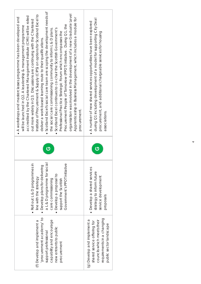| procurement academy' to<br>capability and encourage<br>(f) Develop and implement a<br>new entrants to public<br>support professional<br>procurement | a L & D programme for social<br>$\bullet$ Roll out L & D programmes in<br>Government's PPOT initiative<br>· Develop plans for delivering<br>· Develop a proposal to<br>line with the strategy<br>care commissioning<br>support the Scottish | ပ | Scotland Excel's social care team are scoping the development needs of<br>organisation was involved in the development of a new Graduate Level<br>Institute of Procurement & Supply (CIPS) on options for Scotland Excel to<br>accredited by the Chartered Management Institute (CMI) will be rolled<br>• A workshops and masterclasses programme has been developed and<br>Apprenticeship in Business Management, which includes a module for<br>out more widely in Q3. Discussions are continuing with the Chartered<br>Procurement People of Tomorrow (PPOT) initiative. During Q1, the<br>will be launched in Q2. A leadership & management programme<br>Scotland Excel continues to co-chair the Scottish Government's<br>the social care commissioning community to inform L & D plans.<br>Professional Practice Strategic Forum which encompasses the<br>deliver a work-based learning route to their qualifications.<br>procurement. |
|-----------------------------------------------------------------------------------------------------------------------------------------------------|---------------------------------------------------------------------------------------------------------------------------------------------------------------------------------------------------------------------------------------------|---|----------------------------------------------------------------------------------------------------------------------------------------------------------------------------------------------------------------------------------------------------------------------------------------------------------------------------------------------------------------------------------------------------------------------------------------------------------------------------------------------------------------------------------------------------------------------------------------------------------------------------------------------------------------------------------------------------------------------------------------------------------------------------------------------------------------------------------------------------------------------------------------------------------------------------------------------|
| requirements in a changing<br>(g) Develop and implement a<br>councils which meets their<br>shared service offering for<br>public sector landscape   | · Develop a shared services<br>strategy to inform future<br>service development<br>proposals                                                                                                                                                | ပ | during Q1 including development of a model for supporting City Deal<br>• A number of new shared services opportunities have been explored<br>procurement, and additional chargeable services for housing<br>associations.                                                                                                                                                                                                                                                                                                                                                                                                                                                                                                                                                                                                                                                                                                                    |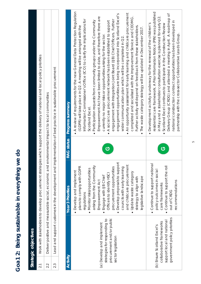|                  | Strategic objectives                                                                                                  |                                                                                                                                                                                                                                                                                                                                                                                                                             |                   |                                                                                                                                                                                                                                                                                                                                                                                                                                                                                                                                                                                                                                                                                                                                                                                                                                                                                                                                                                                                                                                                         |
|------------------|-----------------------------------------------------------------------------------------------------------------------|-----------------------------------------------------------------------------------------------------------------------------------------------------------------------------------------------------------------------------------------------------------------------------------------------------------------------------------------------------------------------------------------------------------------------------|-------------------|-------------------------------------------------------------------------------------------------------------------------------------------------------------------------------------------------------------------------------------------------------------------------------------------------------------------------------------------------------------------------------------------------------------------------------------------------------------------------------------------------------------------------------------------------------------------------------------------------------------------------------------------------------------------------------------------------------------------------------------------------------------------------------------------------------------------------------------------------------------------------------------------------------------------------------------------------------------------------------------------------------------------------------------------------------------------------|
| 2.1              |                                                                                                                       |                                                                                                                                                                                                                                                                                                                                                                                                                             |                   | Work with stakeholders to develop procurement strategies which support the delivery of national and local policy priorities                                                                                                                                                                                                                                                                                                                                                                                                                                                                                                                                                                                                                                                                                                                                                                                                                                                                                                                                             |
| 2.2              |                                                                                                                       | Deliver positive and measurable social, economic and e                                                                                                                                                                                                                                                                                                                                                                      |                   | nvironmental impact to local communities                                                                                                                                                                                                                                                                                                                                                                                                                                                                                                                                                                                                                                                                                                                                                                                                                                                                                                                                                                                                                                |
| $2.\overline{3}$ |                                                                                                                       |                                                                                                                                                                                                                                                                                                                                                                                                                             |                   | Lead and support customers in the development and implementation of best practice in sustainable procurement                                                                                                                                                                                                                                                                                                                                                                                                                                                                                                                                                                                                                                                                                                                                                                                                                                                                                                                                                            |
|                  |                                                                                                                       |                                                                                                                                                                                                                                                                                                                                                                                                                             |                   |                                                                                                                                                                                                                                                                                                                                                                                                                                                                                                                                                                                                                                                                                                                                                                                                                                                                                                                                                                                                                                                                         |
| <b>Activity</b>  |                                                                                                                       | <b>Year 3 Priorities</b>                                                                                                                                                                                                                                                                                                                                                                                                    | <b>RAG</b> status | <b>Progress summary</b>                                                                                                                                                                                                                                                                                                                                                                                                                                                                                                                                                                                                                                                                                                                                                                                                                                                                                                                                                                                                                                                 |
|                  | procurement and/or public<br>strategies for responding to<br>(a) Develop and implement<br>sector legislation          | Develop proposals to support<br>and childcare procurement<br>arising from the Community<br>plans to comply with GDPR<br>procurement opportunities<br>councils with early learning<br>Monitor risks/opportunities<br>• Develop and implement<br>Update waste category<br>Officers to identify HSCI<br>Engage with UB Chief<br>legislative landscape<br>strategy to align with<br>Empowerment Act<br>regulations<br>$\bullet$ | ပ                 | . A review of requirements for the new General Data Protection Regulation<br>An opportunity assessment for early learning and childcare procurement<br>engagement opportunities are being incorporated into Scotland Excel's<br>completed and socialised with the Improvement Service and CEOMG.<br>Empowerment Act have been limited to date, and therefore there are<br>Information Commissioner's Office (ICO) to clarify the implications for<br>engagement with Integration Joint Board (UB) Chief Officers. Further<br>Participation requests from community groups under the Community<br>A social care procurement network has been established to support<br>Further activity will depend on feedback from these stakeholders.<br>(GDPR) will take place in Q2. A meeting will be arranged with the<br>The waste category strategy will be updated in December 2017.<br>currently no major risks or opportunities arising for the sector.<br>wider communication plan which will be completed in Q2.<br>Scotland Excel.<br>$\bullet$<br>$\bullet$<br>$\bullet$ |
|                  | government policy priorities<br>support local and national<br>collaborative frameworks<br>(b) Ensure Scotland Excel's | • Continue to support national<br>Continue to support the roll<br>policy outcomes in social<br>recommendations<br>care frameworks<br>out of CRDG                                                                                                                                                                                                                                                                            | ပ                 | residential care framework. A Prior Information Notice (PIN) was published<br>Delivery Group (CRDG) and attended a meeting in April. A roadmap of<br>in May and a stakeholder consultation exercise is planned for early Q2.<br>national construction contract opportunities has been developed in<br>Scotland Excel continues to participate in the Construction Review<br>• Development activity is underway for the renewal of the children's<br>partnership with the cross-sector Collaborative Leads Group.<br>$\bullet$                                                                                                                                                                                                                                                                                                                                                                                                                                                                                                                                           |

## Goa1 2: Being sustainable in everything we do **Goa1 2: Being sustainable in everything we do**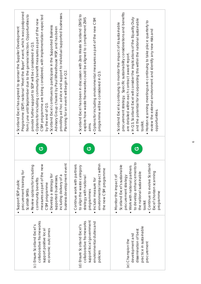| collaborative frameworks<br>(c) Ensure Scotland Excel's<br>economic outcomes<br>support positive local                      | business development event<br>measures as part of the new<br>Review options for including<br>procurement training for<br>Develop a strategy for<br>including delivery of a<br>supported businesses,<br>community benefits<br>Support SDP public<br>CSM programme<br>Scottish SMEs | ပ | Programme (SDP) national 'Meet the Buyer' event, which was postponed<br>providing ad hoc advice and support to individual supported businesses.<br>from June until September due to the general election. Opportunities to<br>CSM programme are being considered, with implementation expected<br>Options for including community benefit measures as part of the new<br>Scotland Excel continues to participate in the Supported Business<br>Advisory Group chaired by Paul Wheelhouse MSP, and has been<br>Scotland Excel has agreed to sponsor the Supplier Development<br>provide further support to SDP will be considered in Q3.<br>Planning for an event will begin in Q2.<br>by the end of Q3<br>$\bullet$ |
|-----------------------------------------------------------------------------------------------------------------------------|-----------------------------------------------------------------------------------------------------------------------------------------------------------------------------------------------------------------------------------------------------------------------------------|---|--------------------------------------------------------------------------------------------------------------------------------------------------------------------------------------------------------------------------------------------------------------------------------------------------------------------------------------------------------------------------------------------------------------------------------------------------------------------------------------------------------------------------------------------------------------------------------------------------------------------------------------------------------------------------------------------------------------------|
| support local government<br>collaborative frameworks<br>environmental duties and<br>(d) Ensure Scotland Excel's<br>policies | environmental impact within<br>• Continue work with partners<br>to align the waste category<br>the new CSM programme<br>strategy with national<br>Include measure for<br>programmes                                                                                               | ပ | Scotland Excel has been in discussion with Zero Waste Scotland (ZWS) to<br>explore how waste frameworks could be aligned to complement ZWS<br>Options for including environmental measures as part of the new CSM<br>programme will be considered in Q3.<br>aims.<br>$\bullet$                                                                                                                                                                                                                                                                                                                                                                                                                                     |
| practice in sustainable<br>dissemination of best<br>development and<br>(e) Champion the<br>procurement                      | to develop enhancements to<br>Continue to evolve Scotland<br>Scotland Excel's sustainable<br>Work with national partners<br>Excel's horizon scanning<br>the national sustainable<br>Monitor the impact of<br>procurement strategy<br>programme<br>toolkit                         | ပ | procurement strategy. Specific sustainability considerations and benefits<br>In Q3, Scotland Excel will consider the implications of the Equality Duty<br>and the potential for incorporating this within the national sustainable<br>Horizon scanning meetings are continuing to take place quarterly to<br>Scotland Excel is continuing to monitor the impact of its sustainable<br>review the external environment and identify any new risks and<br>are detailed within each contract award report.<br>opportunities.<br>toolkit.<br>$\bullet$<br>$\bullet$<br>$\bullet$                                                                                                                                       |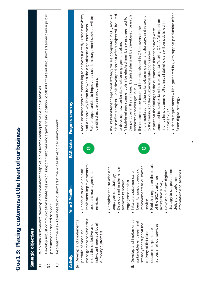|                  | Strategic objectives                                                                                                                                               |                                                                                                                                                                                                                                                                                                                                                                                                                                |                         |                                                                                                                                                                                                                                                                                                                                                                                                                                                                                                                                                                                                                                                                                                                                                                                                                                                                                                                                                                   |
|------------------|--------------------------------------------------------------------------------------------------------------------------------------------------------------------|--------------------------------------------------------------------------------------------------------------------------------------------------------------------------------------------------------------------------------------------------------------------------------------------------------------------------------------------------------------------------------------------------------------------------------|-------------------------|-------------------------------------------------------------------------------------------------------------------------------------------------------------------------------------------------------------------------------------------------------------------------------------------------------------------------------------------------------------------------------------------------------------------------------------------------------------------------------------------------------------------------------------------------------------------------------------------------------------------------------------------------------------------------------------------------------------------------------------------------------------------------------------------------------------------------------------------------------------------------------------------------------------------------------------------------------------------|
| $\overline{3}$ . |                                                                                                                                                                    | Work with customers to develop and implement bespoke                                                                                                                                                                                                                                                                                                                                                                           |                         | plans for maximising the value of our services                                                                                                                                                                                                                                                                                                                                                                                                                                                                                                                                                                                                                                                                                                                                                                                                                                                                                                                    |
| 3.2              | procurement / shared services                                                                                                                                      | Develop robust communications strategies which support                                                                                                                                                                                                                                                                                                                                                                         |                         | customer engagement and position Scotland Excel and its customers as leaders in public                                                                                                                                                                                                                                                                                                                                                                                                                                                                                                                                                                                                                                                                                                                                                                                                                                                                            |
| 3.3              |                                                                                                                                                                    | Represent the views and needs of customers in the wider                                                                                                                                                                                                                                                                                                                                                                        | stakeholder environment |                                                                                                                                                                                                                                                                                                                                                                                                                                                                                                                                                                                                                                                                                                                                                                                                                                                                                                                                                                   |
|                  |                                                                                                                                                                    |                                                                                                                                                                                                                                                                                                                                                                                                                                |                         |                                                                                                                                                                                                                                                                                                                                                                                                                                                                                                                                                                                                                                                                                                                                                                                                                                                                                                                                                                   |
| <b>Activity</b>  |                                                                                                                                                                    | <b>Year 3 Priorities</b>                                                                                                                                                                                                                                                                                                                                                                                                       | <b>RAG</b> status       | <b>Progress summary</b>                                                                                                                                                                                                                                                                                                                                                                                                                                                                                                                                                                                                                                                                                                                                                                                                                                                                                                                                           |
|                  | management services that<br>(a) Develop and implement a<br>individual needs of local<br>meet the collective and<br>portfolio of account<br>authority customers     | implement improvements to<br>• Continue to develop and<br>account management<br>services                                                                                                                                                                                                                                                                                                                                       | ပ                       | • Account managers are continuing to deliver Quarterly Business Reviews,<br>Further opportunities to improve account management services will be<br>and act as a key liaison between the organisation and customers.<br>identified as the year progresses.                                                                                                                                                                                                                                                                                                                                                                                                                                                                                                                                                                                                                                                                                                        |
|                  | (b) Develop and implement a<br>stakeholder engagement<br>strategy that support the<br>across all of our services<br>customer experience<br>delivery of first class | • Publish a report on the results<br>improvements to customer<br>• Complete the stakeholder<br>• Develop and implement a<br>forum to support ongoing<br>strategy to support online<br>· Develop a 'future digital'<br>information and services<br>· Initiate a customer care<br>engagement strategy<br>of the 2017 customer<br>delivery of customer<br>engagement plan<br>satisfaction survey<br>senior stakeholder<br>service | ඏ                       | $\bullet$ Business requirements will be gathered in Q2 to support production of the<br>close off this project. Tools developed as part of this project will be used<br>· The stakeholder engagement strategy will be completed in Q3, and will<br>the joint committee in June. Detailed plans will be developed for each<br>implementation of the stakeholder engagement strategy, and respond<br>• A high-level engagement plan for elected members was presented to<br>produced for senior stakeholders and staff during Q1. A full report on<br>findings for procurement/technical stakeholders will be published in<br>. The customer care forum will be established in Q3 to oversee the<br>. Reports on the findings of the customer satisfaction survey were<br>to develop new senior stakeholder engagement plans.<br>to the findings of the customer satisfaction survey.<br>senior stakeholder group in Q3.<br>future digital strategy.<br>October 2017 |

## Goa1 3: Placing customers at the heart of our business `**Goa1 3: Placing customers at the heart of our business**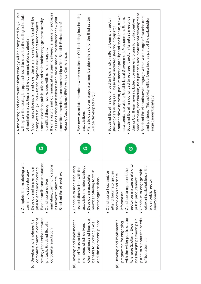| The marketing and communications team delivered a range of activities<br>A marketing and communications strategy will be completed in Q2. This<br>will explain the strategic approach used to develop the rolling schedule<br>A communications plan and calendar are in development and will be<br>in Q1 including press releases and social media, materials for new joint<br>communications, public affairs and stakeholder engagement activity<br>completed in Q2. This will bring together requirements for corporate<br>committee members, and sponsorship of the Scottish Federation of<br>of marketing activities and the communications calendar.<br>identified through workshops with senior managers.<br>Housing Associations (SFHA) Annual Conference<br>$\bullet$<br>$\bullet$<br>ပ | · Five new associate members were recruited in Q1 including four housing<br>Plans to develop an associate membership offering for the third sector<br>will be developed in Q3.<br>associations<br>ပ | procurement, construction, best practice and professional development.<br>contract development, procurement capability and social care, as well<br>Scotland Excel continues to engage with a wide range of stakeholders<br>Scotland Excel has continued to represent sector interests at meetings<br>as attendance at the Scottish Local Government Procurement Forum.<br>and partners. This activity will be formalised as part of the stakeholder<br>Scotland Excel has continued to hold and/or attend forums for sector<br>during Q1. These have included government forums for collaborative<br>stakeholders during Q1. These have included steering groups for<br>engagement strategy.<br>$\bullet$<br>ပ |  |
|-------------------------------------------------------------------------------------------------------------------------------------------------------------------------------------------------------------------------------------------------------------------------------------------------------------------------------------------------------------------------------------------------------------------------------------------------------------------------------------------------------------------------------------------------------------------------------------------------------------------------------------------------------------------------------------------------------------------------------------------------------------------------------------------------|-----------------------------------------------------------------------------------------------------------------------------------------------------------------------------------------------------|----------------------------------------------------------------------------------------------------------------------------------------------------------------------------------------------------------------------------------------------------------------------------------------------------------------------------------------------------------------------------------------------------------------------------------------------------------------------------------------------------------------------------------------------------------------------------------------------------------------------------------------------------------------------------------------------------------------|--|
| • Complete the marketing and<br>Excel's profile and reputation<br>marketing/communications<br>Develop and implement a<br>plan to enhance Scotland<br>communication strategy<br>Scotland Excel services<br>initiatives to promote<br>Continue to deliver<br>$\bullet$                                                                                                                                                                                                                                                                                                                                                                                                                                                                                                                            | associate member strategy<br>• Continue to recruit housing<br>associations in line with the<br>member offering for third<br>Develop an associate<br>sector organisations<br>$\bullet$               | sector on matters relating to<br>relevant stakeholders in the<br>Continue to represent the<br>Continue to engage with<br>• Continue to host and/or<br>attend forums to gather<br>sector views and share<br>public procurement<br>wider public sector<br>environment<br>information                                                                                                                                                                                                                                                                                                                                                                                                                             |  |
| strategy that enhances and<br>corporate communications<br>(c) Develop and implement a<br>protects Scotland Excel's<br>corporate reputation                                                                                                                                                                                                                                                                                                                                                                                                                                                                                                                                                                                                                                                      | clear business and financial<br>(d) Develop and implement a<br>and the membership base<br>benefits to Scotland Excel<br>members which delivers<br>model for associate                               | with the wider public sector<br>place to support the needs<br>has the right partnerships in<br>(e) Develop and implement a<br>programme for engaging<br>to ensure Scotland Excel<br>of its customers                                                                                                                                                                                                                                                                                                                                                                                                                                                                                                           |  |

 $\infty$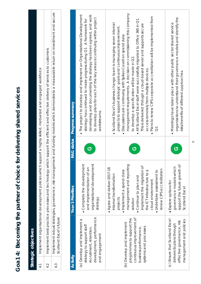| control that the national charge of charge in a set of charge in a set of charge in a set of charge in a set of charge in a set of charge in a set of charge in a set of charge in $\sim$<br>)<br>) |
|-----------------------------------------------------------------------------------------------------------------------------------------------------------------------------------------------------|
| )<br>5<br>5                                                                                                                                                                                         |
| ℩                                                                                                                                                                                                   |
|                                                                                                                                                                                                     |
|                                                                                                                                                                                                     |
|                                                                                                                                                                                                     |
|                                                                                                                                                                                                     |
| נ                                                                                                                                                                                                   |
| $\ddot{\mathbf{c}}$<br>)<br>)<br>ă<br>Í                                                                                                                                                             |
| t                                                                                                                                                                                                   |
| $\overline{AB}$<br>(                                                                                                                                                                                |

|                 | Strategic objectives                                                                                          |                                                                                                                                             |
|-----------------|---------------------------------------------------------------------------------------------------------------|---------------------------------------------------------------------------------------------------------------------------------------------|
|                 | Implement organisational development policies which support a highly skilled, motivated and engaged workforce |                                                                                                                                             |
| 4.2             |                                                                                                               | implement best practice processes and technology which support the efficient and effective delivery of services to customers                |
| 4.3             | Scotland Excel's future                                                                                       | Implement robust strategies, governance, risk management and fundling models which demonstrate a measurable return on investment and secure |
|                 |                                                                                                               |                                                                                                                                             |
| <b>Activity</b> | <b>Year 3 Priorities</b>                                                                                      | <b>RAG status</b> Progress summary                                                                                                          |

| <b>Activity</b>                                                                                                                       | <b>Year 3 Priorities</b>                                                                                                                                                                                                                                                                                  | <b>RAG</b> status | <b>Progress summary</b>                                                                                                                                                                                                                                                                                                                                                                                                                                                                                                                                                                                                     |
|---------------------------------------------------------------------------------------------------------------------------------------|-----------------------------------------------------------------------------------------------------------------------------------------------------------------------------------------------------------------------------------------------------------------------------------------------------------|-------------------|-----------------------------------------------------------------------------------------------------------------------------------------------------------------------------------------------------------------------------------------------------------------------------------------------------------------------------------------------------------------------------------------------------------------------------------------------------------------------------------------------------------------------------------------------------------------------------------------------------------------------------|
| development, performance<br>(a) Develop and implement a<br>strategy to support staff<br>recruitment, retention,<br>and engagement     | organisational development<br>• Complete the development<br>and implementation of an<br>strategy                                                                                                                                                                                                          | ပ                 | · The project to develop and implement an Organisational Development<br>developing and documenting the strategy has been agreed, and work<br>to develop plans for each of the key areas is continuing within project<br>strategy has continued to make progress during Q1. A framework for<br>workstreams.                                                                                                                                                                                                                                                                                                                  |
| continuous improvement of<br>programmes to support the<br>(b) Develop and implement<br>business performance,<br>systems and processes | management and reporting<br>implement the migration of<br>Agree and deliver 2017-18<br>renew CIPS accreditation<br>· Implement a spend data<br>the ICT infrastructure to a<br>· Undertake assessment to<br>internal transformation<br>• Continue to plan and<br>cloud environment<br>projects<br>solution | ပ                 | management requirements. A decision on commissioning this company<br>· Plans to renew CIPS corporate accreditation will be implemented from<br>All Scotland Excel staff were successfully migrated to Office 365 in Q1.<br>· Scotland Excel's business change team is managing seven internal<br>This is delivered through a cloud-based server and supports secure<br>projects to support strategic goals and continuous improvement.<br>· Discussions are continuing with Spikes Cavell on spend data<br>to develop a specification will be made in Q2.<br>access remotely from multiple devices.<br>S.<br>O<br>$\bullet$ |
| (c) Ensure that Scotland Excel<br>management and policies<br>effective governance, risk<br>delivers its plans through                 | support the future growth of<br>governance models which<br>$\bullet$ Explore options for<br>Scotland Excel                                                                                                                                                                                                | ඏ                 | organisations to understand their governance models and identify the<br>• Meetings have taken place with other public sector shared service<br>risks/benefits of different approaches.                                                                                                                                                                                                                                                                                                                                                                                                                                      |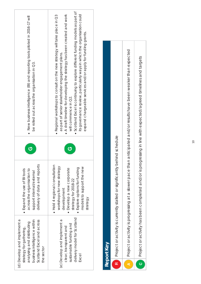| • New business intelligence (BI) and reporting tools piloted in 2016-17 will<br>be rolled out across the organisation in Q3.                                    | Scotland Excel is continuing to explore different funding models as part of<br>its governance review, particularly ways in which the organisation could<br>. A draft timeline for developing the strategy has been created and work<br>• Regional workshops to consult on the new strategy will take place in Q3<br>expand chargeable services and/or apply for funding grants.<br>as part of senior stakeholder engagement plans.<br>will commence in Q2. |
|-----------------------------------------------------------------------------------------------------------------------------------------------------------------|------------------------------------------------------------------------------------------------------------------------------------------------------------------------------------------------------------------------------------------------------------------------------------------------------------------------------------------------------------------------------------------------------------------------------------------------------------|
| Ġ                                                                                                                                                               | ග                                                                                                                                                                                                                                                                                                                                                                                                                                                          |
| delivery of data and reports<br>across the organisation to<br>• Expand the use of BI tools<br>support internal/external                                         | • Hold 4 regional consultation<br>workshops for new strategy<br>models to support the new<br>· Explore options for funding<br>· Develop a new corporate<br>strategy for 2018-22<br>development<br>strategy                                                                                                                                                                                                                                                 |
| (d) Develop and implement a<br>business intelligence within<br>Scotland Excel and across<br>analysing and distributing<br>strategy for gathering,<br>the sector | delivery model for Scotland<br>(e) Develop and implement a<br>sustainable funding and<br>clear, transparent and<br>Excel                                                                                                                                                                                                                                                                                                                                   |

| Report Key                                                                                                                  |
|-----------------------------------------------------------------------------------------------------------------------------|
| significantly behind schedule<br><b>R</b> Project or activity is currently stalled or                                       |
| A I Project or activity is progressing at a slower pace than anticipated and/or results have been weaker than expected      |
| and/or is progressing in line with expected/agreed timelines and targets<br><b>C</b> Project or activity has been completed |